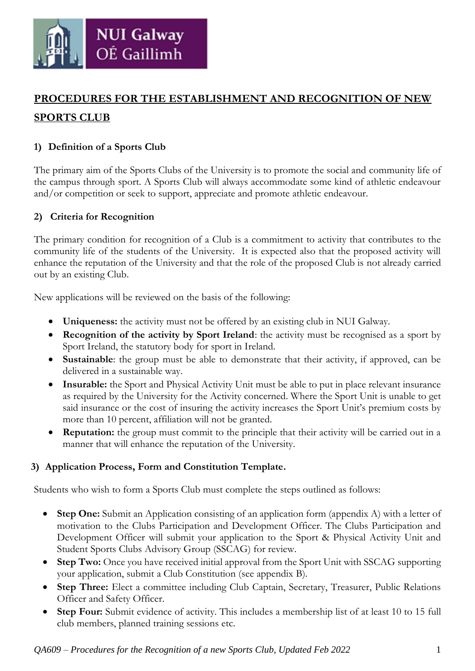

# **PROCEDURES FOR THE ESTABLISHMENT AND RECOGNITION OF NEW SPORTS CLUB**

## **1) Definition of a Sports Club**

The primary aim of the Sports Clubs of the University is to promote the social and community life of the campus through sport. A Sports Club will always accommodate some kind of athletic endeavour and/or competition or seek to support, appreciate and promote athletic endeavour.

### **2) Criteria for Recognition**

The primary condition for recognition of a Club is a commitment to activity that contributes to the community life of the students of the University. It is expected also that the proposed activity will enhance the reputation of the University and that the role of the proposed Club is not already carried out by an existing Club.

New applications will be reviewed on the basis of the following:

- **Uniqueness:** the activity must not be offered by an existing club in NUI Galway.
- **Recognition of the activity by Sport Ireland**: the activity must be recognised as a sport by Sport Ireland, the statutory body for sport in Ireland.
- **Sustainable**: the group must be able to demonstrate that their activity, if approved, can be delivered in a sustainable way.
- **Insurable:** the Sport and Physical Activity Unit must be able to put in place relevant insurance as required by the University for the Activity concerned. Where the Sport Unit is unable to get said insurance or the cost of insuring the activity increases the Sport Unit's premium costs by more than 10 percent, affiliation will not be granted.
- **Reputation:** the group must commit to the principle that their activity will be carried out in a manner that will enhance the reputation of the University.

### **3) Application Process, Form and Constitution Template.**

Students who wish to form a Sports Club must complete the steps outlined as follows:

- **Step One:** Submit an Application consisting of an application form (appendix A) with a letter of motivation to the Clubs Participation and Development Officer. The Clubs Participation and Development Officer will submit your application to the Sport & Physical Activity Unit and Student Sports Clubs Advisory Group (SSCAG) for review.
- **Step Two:** Once you have received initial approval from the Sport Unit with SSCAG supporting your application, submit a Club Constitution (see appendix B).
- **Step Three:** Elect a committee including Club Captain, Secretary, Treasurer, Public Relations Officer and Safety Officer.
- **Step Four:** Submit evidence of activity. This includes a membership list of at least 10 to 15 full club members, planned training sessions etc.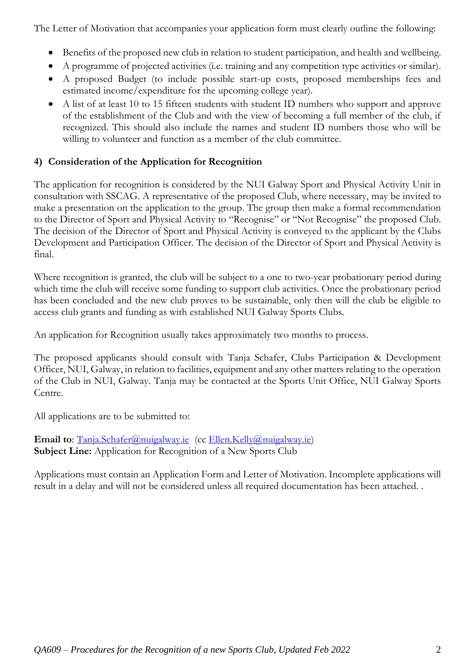The Letter of Motivation that accompanies your application form must clearly outline the following:

- Benefits of the proposed new club in relation to student participation, and health and wellbeing.
- A programme of projected activities (i.e. training and any competition type activities or similar).
- A proposed Budget (to include possible start-up costs, proposed memberships fees and estimated income/expenditure for the upcoming college year).
- A list of at least 10 to 15 fifteen students with student ID numbers who support and approve of the establishment of the Club and with the view of becoming a full member of the club, if recognized. This should also include the names and student ID numbers those who will be willing to volunteer and function as a member of the club committee.

### **4) Consideration of the Application for Recognition**

The application for recognition is considered by the NUI Galway Sport and Physical Activity Unit in consultation with SSCAG. A representative of the proposed Club, where necessary, may be invited to make a presentation on the application to the group. The group then make a formal recommendation to the Director of Sport and Physical Activity to "Recognise" or "Not Recognise" the proposed Club. The decision of the Director of Sport and Physical Activity is conveyed to the applicant by the Clubs Development and Participation Officer. The decision of the Director of Sport and Physical Activity is final.

Where recognition is granted, the club will be subject to a one to two-year probationary period during which time the club will receive some funding to support club activities. Once the probationary period has been concluded and the new club proves to be sustainable, only then will the club be eligible to access club grants and funding as with established NUI Galway Sports Clubs.

An application for Recognition usually takes approximately two months to process.

The proposed applicants should consult with Tanja Schafer, Clubs Participation & Development Officer, NUI, Galway, in relation to facilities, equipment and any other matters relating to the operation of the Club in NUI, Galway. Tanja may be contacted at the Sports Unit Office, NUI Galway Sports Centre.

All applications are to be submitted to:

**Email to**: [Tanja.Schafer@nuigalway.ie](mailto:Tanja.Schafer@nuigalway.ie) (cc [Ellen.Kelly@nuigalway.ie\)](mailto:Ellen.Kelly@nuigalway.ie) **Subject Line:** Application for Recognition of a New Sports Club

Applications must contain an Application Form and Letter of Motivation. Incomplete applications will result in a delay and will not be considered unless all required documentation has been attached. .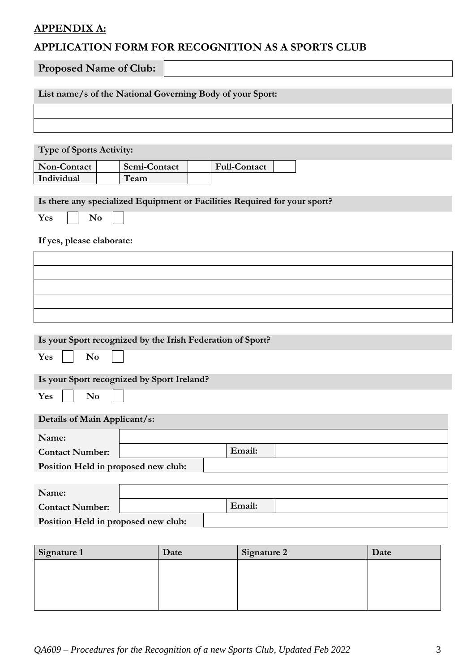# **APPENDIX A:**

# **APPLICATION FORM FOR RECOGNITION AS A SPORTS CLUB**

| <b>Proposed Name of Club:</b>                                             |      |                     |      |  |  |
|---------------------------------------------------------------------------|------|---------------------|------|--|--|
| List name/s of the National Governing Body of your Sport:                 |      |                     |      |  |  |
|                                                                           |      |                     |      |  |  |
| Type of Sports Activity:                                                  |      |                     |      |  |  |
| Semi-Contact<br>Non-Contact<br>Individual<br>Team                         |      | <b>Full-Contact</b> |      |  |  |
| Is there any specialized Equipment or Facilities Required for your sport? |      |                     |      |  |  |
| No<br>Yes                                                                 |      |                     |      |  |  |
| If yes, please elaborate:                                                 |      |                     |      |  |  |
|                                                                           |      |                     |      |  |  |
|                                                                           |      |                     |      |  |  |
|                                                                           |      |                     |      |  |  |
|                                                                           |      |                     |      |  |  |
| Is your Sport recognized by the Irish Federation of Sport?                |      |                     |      |  |  |
| N <sub>0</sub><br>Yes                                                     |      |                     |      |  |  |
| Is your Sport recognized by Sport Ireland?                                |      |                     |      |  |  |
| Yes<br>N <sub>0</sub>                                                     |      |                     |      |  |  |
| Details of Main Applicant/s:                                              |      |                     |      |  |  |
| Name:                                                                     |      |                     |      |  |  |
| <b>Contact Number:</b>                                                    |      | Email:              |      |  |  |
| Position Held in proposed new club:                                       |      |                     |      |  |  |
| Name:                                                                     |      |                     |      |  |  |
| <b>Contact Number:</b>                                                    |      | Email:              |      |  |  |
| Position Held in proposed new club:                                       |      |                     |      |  |  |
| Signature 1                                                               | Date | Signature 2         | Date |  |  |

| $\overline{\phantom{a}}$ | Daw | $\overline{\phantom{a}}$ | Daw |
|--------------------------|-----|--------------------------|-----|
|                          |     |                          |     |
|                          |     |                          |     |
|                          |     |                          |     |
|                          |     |                          |     |
|                          |     |                          |     |
|                          |     |                          |     |
|                          |     |                          |     |
|                          |     |                          |     |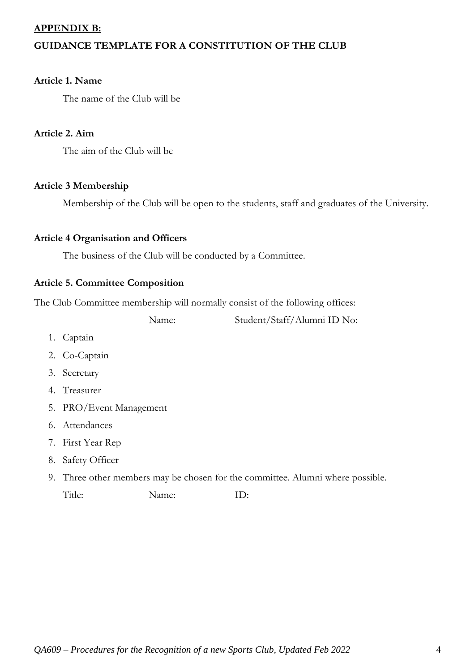#### **APPENDIX B:**

#### **GUIDANCE TEMPLATE FOR A CONSTITUTION OF THE CLUB**

#### **Article 1. Name**

The name of the Club will be

#### **Article 2. Aim**

The aim of the Club will be

#### **Article 3 Membership**

Membership of the Club will be open to the students, staff and graduates of the University.

#### **Article 4 Organisation and Officers**

The business of the Club will be conducted by a Committee.

#### **Article 5. Committee Composition**

The Club Committee membership will normally consist of the following offices:

Name: Student/Staff/Alumni ID No:

- 1. Captain
- 2. Co-Captain
- 3. Secretary
- 4. Treasurer
- 5. PRO/Event Management
- 6. Attendances
- 7. First Year Rep
- 8. Safety Officer
- 9. Three other members may be chosen for the committee. Alumni where possible.

Title: Name: ID: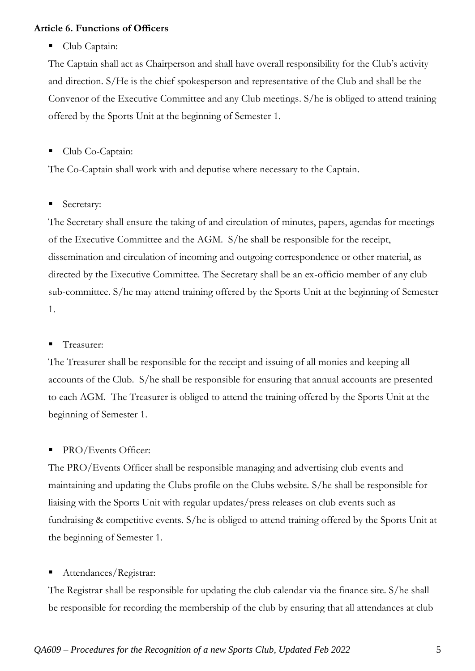#### **Article 6. Functions of Officers**

Club Captain:

 The Captain shall act as Chairperson and shall have overall responsibility for the Club's activity and direction. S/He is the chief spokesperson and representative of the Club and shall be the Convenor of the Executive Committee and any Club meetings. S/he is obliged to attend training offered by the Sports Unit at the beginning of Semester 1.

Club Co-Captain:

The Co-Captain shall work with and deputise where necessary to the Captain.

**Secretary:** 

The Secretary shall ensure the taking of and circulation of minutes, papers, agendas for meetings of the Executive Committee and the AGM. S/he shall be responsible for the receipt, dissemination and circulation of incoming and outgoing correspondence or other material, as directed by the Executive Committee. The Secretary shall be an ex-officio member of any club sub-committee. S/he may attend training offered by the Sports Unit at the beginning of Semester 1.

#### Treasurer:

The Treasurer shall be responsible for the receipt and issuing of all monies and keeping all accounts of the Club. S/he shall be responsible for ensuring that annual accounts are presented to each AGM. The Treasurer is obliged to attend the training offered by the Sports Unit at the beginning of Semester 1.

#### • PRO/Events Officer:

The PRO/Events Officer shall be responsible managing and advertising club events and maintaining and updating the Clubs profile on the Clubs website. S/he shall be responsible for liaising with the Sports Unit with regular updates/press releases on club events such as fundraising & competitive events. S/he is obliged to attend training offered by the Sports Unit at the beginning of Semester 1.

#### ■ Attendances/Registrar:

The Registrar shall be responsible for updating the club calendar via the finance site. S/he shall be responsible for recording the membership of the club by ensuring that all attendances at club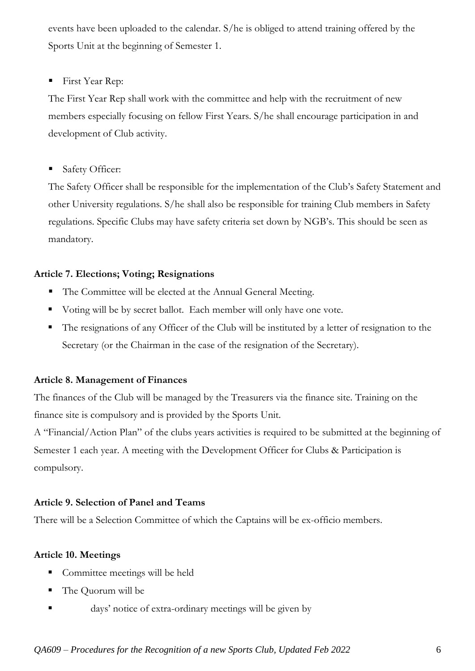events have been uploaded to the calendar. S/he is obliged to attend training offered by the Sports Unit at the beginning of Semester 1.

■ First Year Rep:

The First Year Rep shall work with the committee and help with the recruitment of new members especially focusing on fellow First Years. S/he shall encourage participation in and development of Club activity.

■ Safety Officer:

The Safety Officer shall be responsible for the implementation of the Club's Safety Statement and other University regulations. S/he shall also be responsible for training Club members in Safety regulations. Specific Clubs may have safety criteria set down by NGB's. This should be seen as mandatory.

# **Article 7. Elections; Voting; Resignations**

- The Committee will be elected at the Annual General Meeting.
- Voting will be by secret ballot. Each member will only have one vote.
- The resignations of any Officer of the Club will be instituted by a letter of resignation to the Secretary (or the Chairman in the case of the resignation of the Secretary).

### **Article 8. Management of Finances**

The finances of the Club will be managed by the Treasurers via the finance site. Training on the finance site is compulsory and is provided by the Sports Unit.

A "Financial/Action Plan" of the clubs years activities is required to be submitted at the beginning of Semester 1 each year. A meeting with the Development Officer for Clubs & Participation is compulsory.

# **Article 9. Selection of Panel and Teams**

There will be a Selection Committee of which the Captains will be ex-officio members.

### **Article 10. Meetings**

- Committee meetings will be held
- The Quorum will be
- days' notice of extra-ordinary meetings will be given by